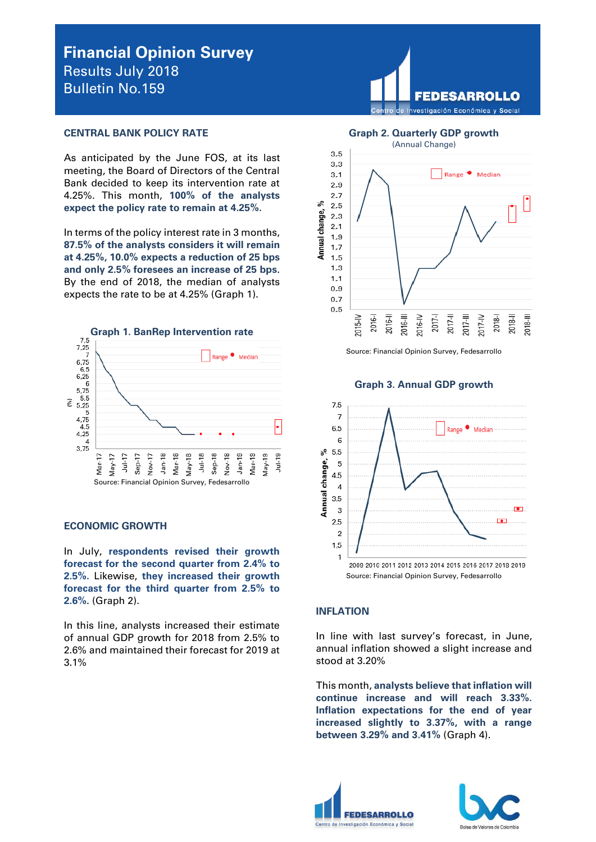# **Financial Opinion Survey**  Results July 2018 Bulletin No.159

#### **CENTRAL BANK POLICY RATE**

As anticipated by the June FOS, at its last meeting, the Board of Directors of the Central Bank decided to keep its intervention rate at 4.25%. This month, **100% of the analysts expect the policy rate to remain at 4.25%.**

In terms of the policy interest rate in 3 months, **87.5% of the analysts considers it will remain at 4.25%, 10.0% expects a reduction of 25 bps and only 2.5% foresees an increase of 25 bps**. By the end of 2018, the median of analysts expects the rate to be at 4.25% (Graph 1).



# **ECONOMIC GROWTH**

In July, **respondents revised their growth forecast for the second quarter from 2.4% to 2.5%.** Likewise, **they increased their growth forecast for the third quarter from 2.5% to 2.6%**. (Graph 2).

In this line, analysts increased their estimate of annual GDP growth for 2018 from 2.5% to 2.6% and maintained their forecast for 2019 at 3.1%



# **Graph 2. Quarterly GDP growth**



Source: Financial Opinion Survey, Fedesarrollo

#### **Graph 3. Annual GDP growth**



# **INFLATION**

In line with last survey's forecast, in June, annual inflation showed a slight increase and stood at 3.20%

This month, **analysts believe that inflation will continue increase and will reach 3.33%. Inflation expectations for the end of year increased slightly to 3.37%, with a range between 3.29% and 3.41%** (Graph 4).



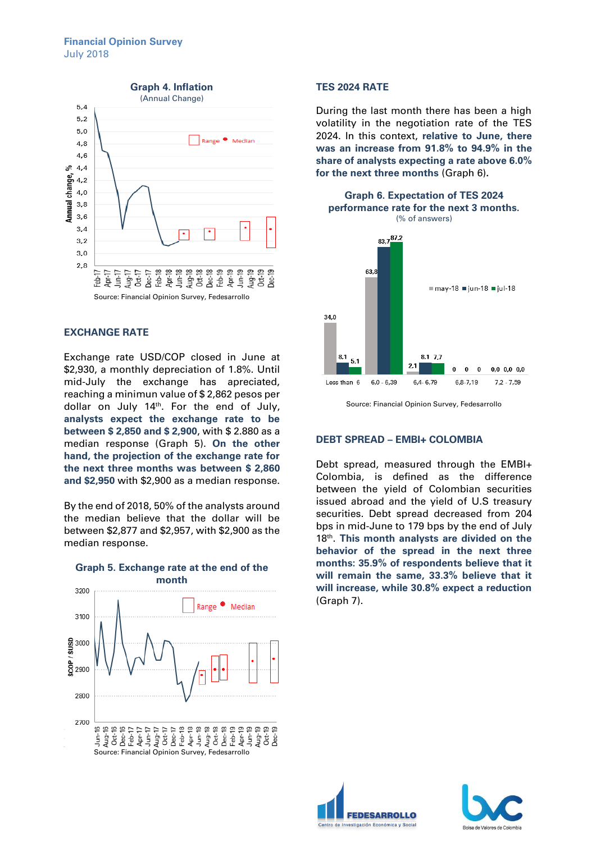

## **EXCHANGE RATE**

Exchange rate USD/COP closed in June at \$2,930, a monthly depreciation of 1.8%. Until mid-July the exchange has apreciated, reaching a minimun value of \$ 2,862 pesos per dollar on July  $14<sup>th</sup>$ . For the end of July, **analysts expect the exchange rate to be between \$ 2,850 and \$ 2,900**, with \$ 2.880 as a median response (Graph 5). **On the other hand, the projection of the exchange rate for the next three months was between \$ 2,860 and \$2,950** with \$2,900 as a median response.

By the end of 2018, 50% of the analysts around the median believe that the dollar will be between \$2,877 and \$2,957, with \$2,900 as the median response.



# **Graph 5. Exchange rate at the end of the**

## **TES 2024 RATE**

During the last month there has been a high volatility in the negotiation rate of the TES 2024. In this context, **relative to June, there was an increase from 91.8% to 94.9% in the share of analysts expecting a rate above 6.0% for the next three months** (Graph 6)**.**



Source: Financial Opinion Survey, Fedesarrollo

# **DEBT SPREAD – EMBI+ COLOMBIA**

Debt spread, measured through the EMBI+ Colombia, is defined as the difference between the yield of Colombian securities issued abroad and the yield of U.S treasury securities. Debt spread decreased from 204 bps in mid-June to 179 bps by the end of July 18th . **This month analysts are divided on the behavior of the spread in the next three months: 35.9% of respondents believe that it will remain the same, 33.3% believe that it will increase, while 30.8% expect a reduction**  (Graph 7).



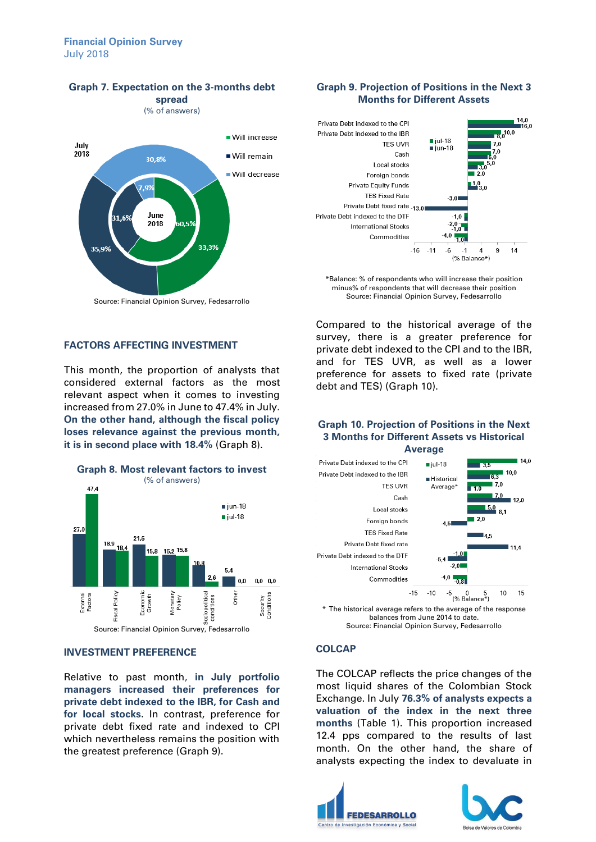# **Financial Opinion Survey** July 2018



# **Graph 7. Expectation on the 3-months debt**

**spread** (% of answers)

Source: Financial Opinion Survey, Fedesarrollo

# **FACTORS AFFECTING INVESTMENT**

This month, the proportion of analysts that considered external factors as the most relevant aspect when it comes to investing increased from 27.0% in June to 47.4% in July**. On the other hand, although the fiscal policy loses relevance against the previous month, it is in second place with 18.4%** (Graph 8).



#### **INVESTMENT PREFERENCE**

Relative to past month, **in July portfolio managers increased their preferences for private debt indexed to the IBR, for Cash and for local stocks**. In contrast, preference for private debt fixed rate and indexed to CPI which nevertheless remains the position with the greatest preference (Graph 9).

# **Graph 9. Projection of Positions in the Next 3 Months for Different Assets**



\*Balance: % of respondents who will increase their position minus% of respondents that will decrease their position Source: Financial Opinion Survey, Fedesarrollo

Compared to the historical average of the survey, there is a greater preference for private debt indexed to the CPI and to the IBR, and for TES UVR, as well as a lower preference for assets to fixed rate (private debt and TES) (Graph 10).

## **Graph 10. Projection of Positions in the Next 3 Months for Different Assets vs Historical Average**



balances from June 2014 to date. Source: Financial Opinion Survey, Fedesarrollo

#### **COLCAP**

The COLCAP reflects the price changes of the most liquid shares of the Colombian Stock Exchange. In July **76.3% of analysts expects a valuation of the index in the next three months** (Table 1). This proportion increased 12.4 pps compared to the results of last month. On the other hand, the share of analysts expecting the index to devaluate in



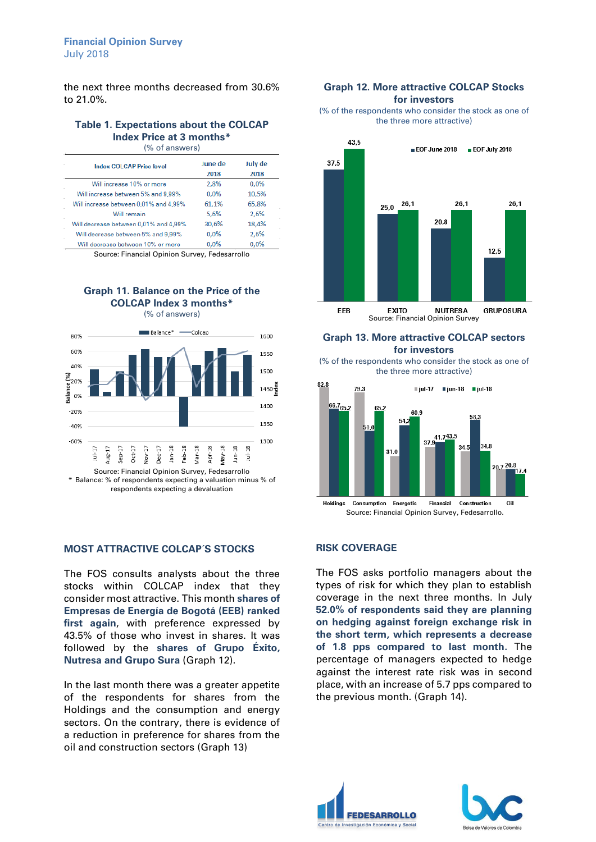the next three months decreased from 30.6% to 21.0%.

#### **Table 1. Expectations about the COLCAP Index Price at 3 months\*** (% of answers)

| <b>Index COLCAP Price level</b>       | June de | July de |  |
|---------------------------------------|---------|---------|--|
|                                       | 2018    | 2018    |  |
| Will increase 10% or more             | 2,8%    | 0.0%    |  |
| Will increase between 5% and 9,99%    | 0,0%    | 10,5%   |  |
| Will increase between 0,01% and 4,99% | 61,1%   | 65,8%   |  |
| Will remain                           | 5.6%    | 2,6%    |  |
| Will decrease between 0,01% and 4,99% | 30.6%   | 18,4%   |  |
| Will decrease between 5% and 9,99%    | 0.0%    | 2,6%    |  |
| Will decrease between 10% or more     | 0.0%    | 0.0%    |  |

Source: Financial Opinion Survey, Fedesarrollo

# **Graph 11. Balance on the Price of the COLCAP Index 3 months\***



**MOST ATTRACTIVE COLCAP´S STOCKS**

The FOS consults analysts about the three stocks within COLCAP index that they consider most attractive. This month **shares of Empresas de Energía de Bogotá (EEB) ranked first again**, with preference expressed by 43.5% of those who invest in shares. It was followed by the **shares of Grupo Éxito, Nutresa and Grupo Sura** (Graph 12).

In the last month there was a greater appetite of the respondents for shares from the Holdings and the consumption and energy sectors. On the contrary, there is evidence of a reduction in preference for shares from the oil and construction sectors (Graph 13)

#### **Graph 12. More attractive COLCAP Stocks for investors**

(% of the respondents who consider the stock as one of the three more attractive)



### **Graph 13. More attractive COLCAP sectors for investors**

(% of the respondents who consider the stock as one of the three more attractive)



## **RISK COVERAGE**

The FOS asks portfolio managers about the types of risk for which they plan to establish coverage in the next three months. In July **52.0% of respondents said they are planning on hedging against foreign exchange risk in the short term, which represents a decrease of 1.8 pps compared to last month.** The percentage of managers expected to hedge against the interest rate risk was in second place, with an increase of 5.7 pps compared to the previous month. (Graph 14).





(% of answers)